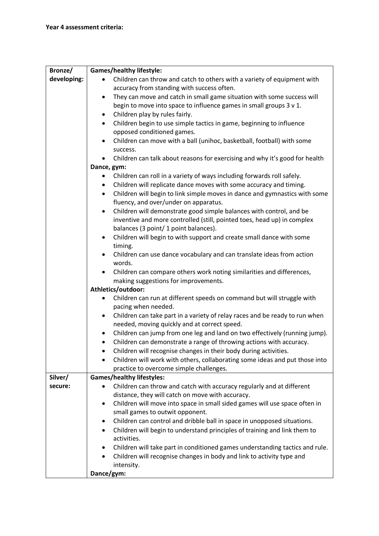| Bronze/     | <b>Games/healthy lifestyle:</b>                                                          |
|-------------|------------------------------------------------------------------------------------------|
| developing: | Children can throw and catch to others with a variety of equipment with                  |
|             | accuracy from standing with success often.                                               |
|             | They can move and catch in small game situation with some success will<br>$\bullet$      |
|             | begin to move into space to influence games in small groups 3 v 1.                       |
|             | Children play by rules fairly.<br>٠                                                      |
|             | Children begin to use simple tactics in game, beginning to influence<br>$\bullet$        |
|             | opposed conditioned games.                                                               |
|             | Children can move with a ball (unihoc, basketball, football) with some                   |
|             | success.                                                                                 |
|             | Children can talk about reasons for exercising and why it's good for health              |
|             | Dance, gym:                                                                              |
|             | Children can roll in a variety of ways including forwards roll safely.                   |
|             | Children will replicate dance moves with some accuracy and timing.<br>$\bullet$          |
|             | Children will begin to link simple moves in dance and gymnastics with some<br>$\bullet$  |
|             | fluency, and over/under on apparatus.                                                    |
|             | Children will demonstrate good simple balances with control, and be<br>$\bullet$         |
|             | inventive and more controlled (still, pointed toes, head up) in complex                  |
|             | balances (3 point/ 1 point balances).                                                    |
|             | Children will begin to with support and create small dance with some<br>$\bullet$        |
|             | timing.                                                                                  |
|             | Children can use dance vocabulary and can translate ideas from action                    |
|             | words.                                                                                   |
|             | Children can compare others work noting similarities and differences,<br>$\bullet$       |
|             | making suggestions for improvements.                                                     |
|             | Athletics/outdoor:                                                                       |
|             | Children can run at different speeds on command but will struggle with                   |
|             | pacing when needed.                                                                      |
|             | Children can take part in a variety of relay races and be ready to run when<br>$\bullet$ |
|             | needed, moving quickly and at correct speed.                                             |
|             | Children can jump from one leg and land on two effectively (running jump).<br>$\bullet$  |
|             | Children can demonstrate a range of throwing actions with accuracy.<br>$\bullet$         |
|             | Children will recognise changes in their body during activities.                         |
|             | Children will work with others, collaborating some ideas and put those into              |
|             | practice to overcome simple challenges.                                                  |
| Silver/     | <b>Games/healthy lifestyles:</b>                                                         |
| secure:     | Children can throw and catch with accuracy regularly and at different                    |
|             | distance, they will catch on move with accuracy.                                         |
|             | Children will move into space in small sided games will use space often in<br>٠          |
|             | small games to outwit opponent.                                                          |
|             | Children can control and dribble ball in space in unopposed situations.<br>٠             |
|             | Children will begin to understand principles of training and link them to<br>$\bullet$   |
|             | activities.                                                                              |
|             | Children will take part in conditioned games understanding tactics and rule.<br>٠        |
|             | Children will recognise changes in body and link to activity type and<br>$\bullet$       |
|             | intensity.                                                                               |
|             | Dance/gym:                                                                               |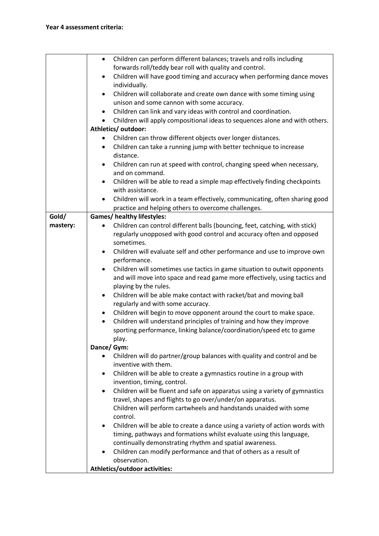|          | Children can perform different balances; travels and rolls including<br>$\bullet$                            |
|----------|--------------------------------------------------------------------------------------------------------------|
|          | forwards roll/teddy bear roll with quality and control.                                                      |
|          | Children will have good timing and accuracy when performing dance moves<br>$\bullet$                         |
|          | individually.                                                                                                |
|          | Children will collaborate and create own dance with some timing using<br>$\bullet$                           |
|          | unison and some cannon with some accuracy.                                                                   |
|          | Children can link and vary ideas with control and coordination.<br>٠                                         |
|          | Children will apply compositional ideas to sequences alone and with others.<br>$\bullet$                     |
|          | Athletics/outdoor:                                                                                           |
|          | Children can throw different objects over longer distances.                                                  |
|          | Children can take a running jump with better technique to increase<br>$\bullet$                              |
|          | distance.                                                                                                    |
|          | Children can run at speed with control, changing speed when necessary,<br>$\bullet$                          |
|          | and on command.                                                                                              |
|          | Children will be able to read a simple map effectively finding checkpoints                                   |
|          | with assistance.                                                                                             |
|          | Children will work in a team effectively, communicating, often sharing good<br>٠                             |
|          | practice and helping others to overcome challenges.                                                          |
| Gold/    | <b>Games/ healthy lifestyles:</b>                                                                            |
| mastery: | Children can control different balls (bouncing, feet, catching, with stick)                                  |
|          | regularly unopposed with good control and accuracy often and opposed                                         |
|          | sometimes.                                                                                                   |
|          | Children will evaluate self and other performance and use to improve own<br>$\bullet$                        |
|          | performance.                                                                                                 |
|          | Children will sometimes use tactics in game situation to outwit opponents<br>$\bullet$                       |
|          | and will move into space and read game more effectively, using tactics and                                   |
|          | playing by the rules.                                                                                        |
|          | Children will be able make contact with racket/bat and moving ball<br>$\bullet$                              |
|          | regularly and with some accuracy.                                                                            |
|          | Children will begin to move opponent around the court to make space.<br>$\bullet$                            |
|          | Children will understand principles of training and how they improve<br>٠                                    |
|          | sporting performance, linking balance/coordination/speed etc to game                                         |
|          | play.                                                                                                        |
|          | Dance/ Gym:                                                                                                  |
|          | Children will do partner/group balances with quality and control and be<br>$\bullet$<br>inventive with them. |
|          | Children will be able to create a gymnastics routine in a group with<br>٠                                    |
|          | invention, timing, control.                                                                                  |
|          | Children will be fluent and safe on apparatus using a variety of gymnastics<br>$\bullet$                     |
|          | travel, shapes and flights to go over/under/on apparatus.                                                    |
|          | Children will perform cartwheels and handstands unaided with some                                            |
|          | control.                                                                                                     |
|          | Children will be able to create a dance using a variety of action words with<br>$\bullet$                    |
|          | timing, pathways and formations whilst evaluate using this language,                                         |
|          | continually demonstrating rhythm and spatial awareness.                                                      |
|          | Children can modify performance and that of others as a result of<br>$\bullet$                               |
|          | observation.                                                                                                 |
|          | Athletics/outdoor activities:                                                                                |